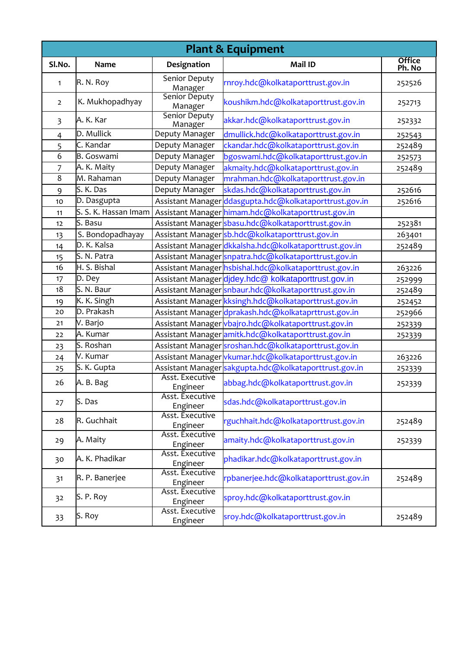| <b>Plant &amp; Equipment</b> |                                |                                 |                                                         |                         |  |  |  |
|------------------------------|--------------------------------|---------------------------------|---------------------------------------------------------|-------------------------|--|--|--|
| Sl.No.                       | Name                           | Designation                     | Mail ID                                                 | <b>Office</b><br>Ph. No |  |  |  |
| 1                            | R. N. Roy                      | Senior Deputy<br>Manager        | rnroy.hdc@kolkataporttrust.gov.in                       | 252526                  |  |  |  |
| $\overline{2}$               | K. Mukhopadhyay                | <b>Senior Deputy</b><br>Manager | koushikm.hdc@kolkataporttrust.gov.in                    | 252713                  |  |  |  |
| $\overline{\mathbf{3}}$      | A. K. Kar                      | Senior Deputy<br>Manager        | akkar.hdc@kolkataporttrust.gov.in                       | 252332                  |  |  |  |
| $\overline{4}$               | D. Mullick                     | Deputy Manager                  | dmullick.hdc@kolkataporttrust.gov.in                    | 252543                  |  |  |  |
| 5                            | C. Kandar                      | Deputy Manager                  | ckandar.hdc@kolkataporttrust.gov.in                     | 252489                  |  |  |  |
| 6                            | <b>B.</b> Goswami              | Deputy Manager                  | bgoswami.hdc@kolkataporttrust.gov.in                    | 252573                  |  |  |  |
| 7                            | A. K. Maity                    | Deputy Manager                  | akmaity.hdc@kolkataporttrust.gov.in                     | 252489                  |  |  |  |
| 8                            | M. Rahaman                     | Deputy Manager                  | mrahman.hdc@kolkataporttrust.gov.in                     |                         |  |  |  |
| 9                            | S. K. Das                      | Deputy Manager                  | skdas.hdc@kolkataporttrust.gov.in                       | 252616                  |  |  |  |
| 10                           | D. Dasgupta                    |                                 | Assistant Manager ddasgupta.hdc@kolkataporttrust.gov.in | 252616                  |  |  |  |
| 11                           | S. S. K. Hassan Imam           |                                 | Assistant Manager himam.hdc@kolkataporttrust.gov.in     |                         |  |  |  |
| 12                           | $\overline{\mathsf{S}}$ . Basu |                                 | Assistant Manager sbasu.hdc@kolkataporttrust.gov.in     | 252381                  |  |  |  |
| 13                           | S. Bondopadhayay               |                                 | Assistant Managersb.hdc@kolkataporttrust.gov.in         | 263401                  |  |  |  |
| 14                           | D. K. Kalsa                    |                                 | Assistant Manager dkkalsha.hdc@kolkataporttrust.gov.in  | 252489                  |  |  |  |
| 15                           | S. N. Patra                    |                                 | Assistant Manager snpatra.hdc@kolkataporttrust.gov.in   |                         |  |  |  |
| 16                           | H. S. Bishal                   |                                 | Assistant Manager hsbishal.hdc@kolkataporttrust.gov.in  | 263226                  |  |  |  |
| 17                           | D. Dey                         |                                 | Assistant Manager djdey.hdc@kolkataporttrust.gov.in     | 252999                  |  |  |  |
| 18                           | S. N. Baur                     |                                 | Assistant Manager snbaur.hdc@kolkataporttrust.gov.in    | 252489                  |  |  |  |
| 19                           | K. K. Singh                    |                                 | Assistant Manager kksingh.hdc@kolkataporttrust.gov.in   | 252452                  |  |  |  |
| 20                           | D. Prakash                     |                                 | Assistant Manager dprakash.hdc@kolkataprttrust.gov.in   | 252966                  |  |  |  |
| 21                           | V. Barjo                       |                                 | Assistant Manager vbajro.hdc@kolkataporttrust.gov.in    | 252339                  |  |  |  |
| 22                           | A. Kumar                       |                                 | Assistant Manager amitk.hdc@kolkataporttrust.gov.in     | 252339                  |  |  |  |
| 23                           | S. Roshan                      |                                 | Assistant Manager sroshan.hdc@kolkataporttrust.gov.in   |                         |  |  |  |
| 24                           | V. Kumar                       |                                 | Assistant Manager vkumar.hdc@kolkataporttrust.gov.in    | 263226                  |  |  |  |
| 25                           | S. K. Gupta                    |                                 | Assistant Manager sakgupta.hdc@kolkataporttrust.gov.in  | 252339                  |  |  |  |
| 26                           | A. B. Bag                      | Asst. Executive<br>Engineer     | abbag.hdc@kolkataporttrust.gov.in                       | 252339                  |  |  |  |
| 27                           | S. Das                         | Asst. Executive<br>Engineer     | sdas.hdc@kolkataporttrust.gov.in                        |                         |  |  |  |
| 28                           | R. Guchhait                    | Asst. Executive<br>Engineer     | rguchhait.hdc@kolkataporttrust.gov.in                   | 252489                  |  |  |  |
| 29                           | A. Maity                       | Asst. Executive<br>Engineer     | amaity.hdc@kolkataporttrust.gov.in                      | 252339                  |  |  |  |
| 30                           | A. K. Phadikar                 | Asst. Executive<br>Engineer     | phadikar.hdc@kolkataporttrust.gov.in                    |                         |  |  |  |
| 31                           | R. P. Banerjee                 | Asst. Executive<br>Engineer     | rpbanerjee.hdc@kolkataporttrust.gov.in                  | 252489                  |  |  |  |
| 32                           | S. P. Roy                      | Asst. Executive<br>Engineer     | sproy.hdc@kolkataporttrust.gov.in                       |                         |  |  |  |
| 33                           | S. Roy                         | Asst. Executive<br>Engineer     | sroy.hdc@kolkataporttrust.gov.in                        | 252489                  |  |  |  |